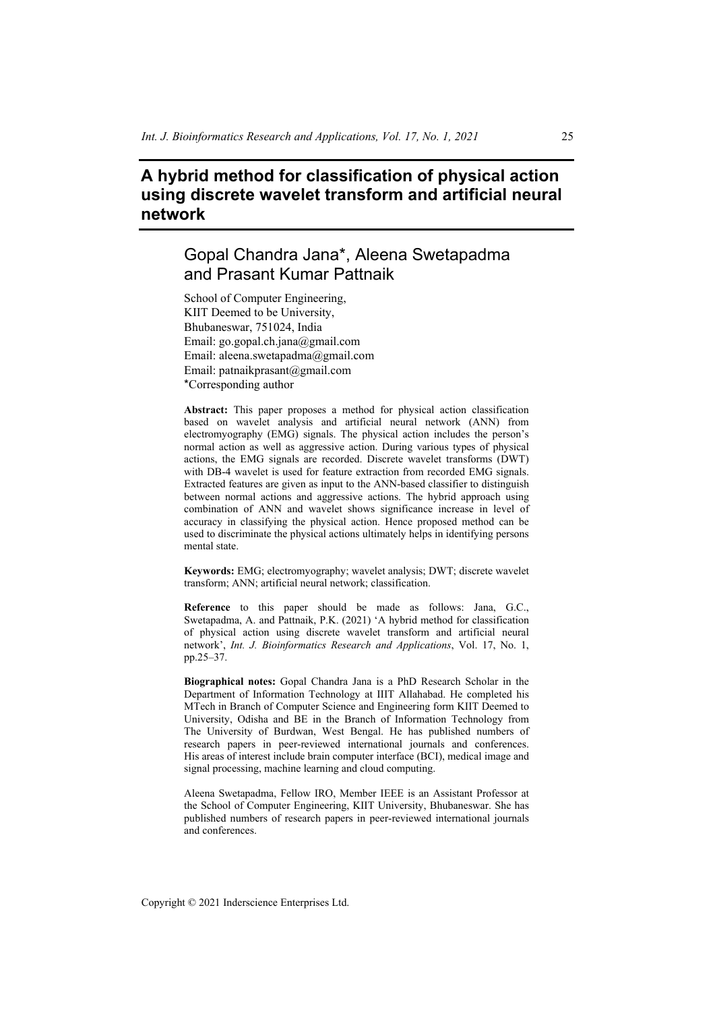# **A hybrid method for classification of physical action using discrete wavelet transform and artificial neural network**

# Gopal Chandra Jana\*, Aleena Swetapadma and Prasant Kumar Pattnaik

School of Computer Engineering, KIIT Deemed to be University, Bhubaneswar, 751024, India Email: go.gopal.ch.jana@gmail.com Email: aleena.swetapadma@gmail.com Email: patnaikprasant@gmail.com \*Corresponding author

**Abstract:** This paper proposes a method for physical action classification based on wavelet analysis and artificial neural network (ANN) from electromyography (EMG) signals. The physical action includes the person's normal action as well as aggressive action. During various types of physical actions, the EMG signals are recorded. Discrete wavelet transforms (DWT) with DB-4 wavelet is used for feature extraction from recorded EMG signals. Extracted features are given as input to the ANN-based classifier to distinguish between normal actions and aggressive actions. The hybrid approach using combination of ANN and wavelet shows significance increase in level of accuracy in classifying the physical action. Hence proposed method can be used to discriminate the physical actions ultimately helps in identifying persons mental state.

**Keywords:** EMG; electromyography; wavelet analysis; DWT; discrete wavelet transform; ANN; artificial neural network; classification.

**Reference** to this paper should be made as follows: Jana, G.C., Swetapadma, A. and Pattnaik, P.K. (2021) 'A hybrid method for classification of physical action using discrete wavelet transform and artificial neural network', *Int. J. Bioinformatics Research and Applications*, Vol. 17, No. 1, pp.25–37.

**Biographical notes:** Gopal Chandra Jana is a PhD Research Scholar in the Department of Information Technology at IIIT Allahabad. He completed his MTech in Branch of Computer Science and Engineering form KIIT Deemed to University, Odisha and BE in the Branch of Information Technology from The University of Burdwan, West Bengal. He has published numbers of research papers in peer-reviewed international journals and conferences. His areas of interest include brain computer interface (BCI), medical image and signal processing, machine learning and cloud computing.

Aleena Swetapadma, Fellow IRO, Member IEEE is an Assistant Professor at the School of Computer Engineering, KIIT University, Bhubaneswar. She has published numbers of research papers in peer-reviewed international journals and conferences.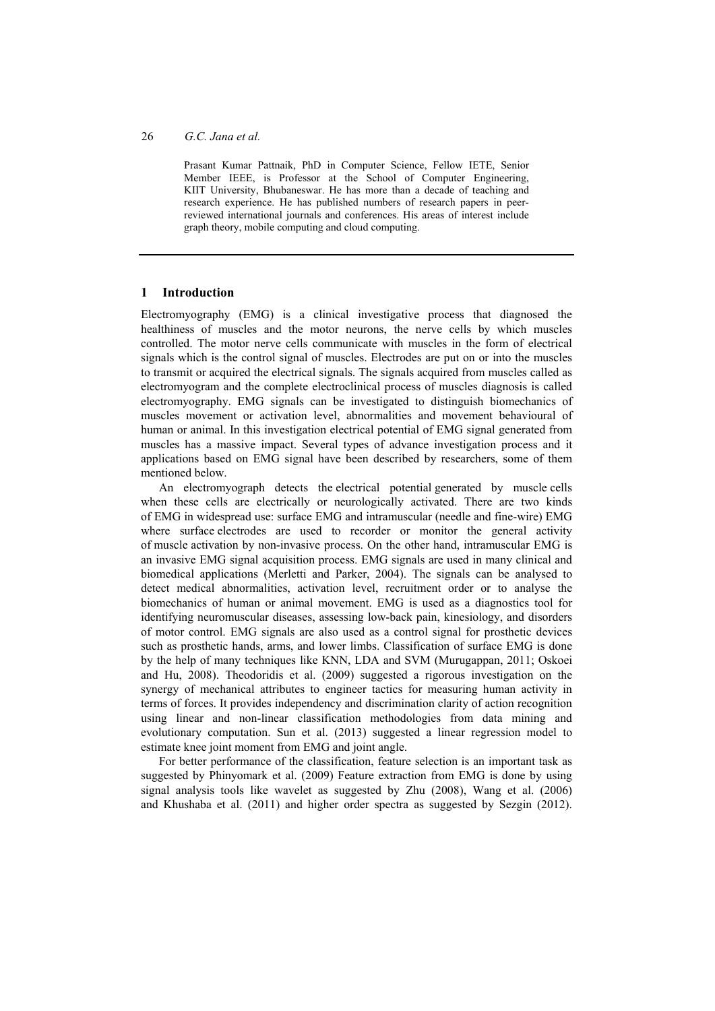Prasant Kumar Pattnaik, PhD in Computer Science, Fellow IETE, Senior Member IEEE, is Professor at the School of Computer Engineering, KIIT University, Bhubaneswar. He has more than a decade of teaching and research experience. He has published numbers of research papers in peerreviewed international journals and conferences. His areas of interest include graph theory, mobile computing and cloud computing.

# **1 Introduction**

Electromyography (EMG) is a clinical investigative process that diagnosed the healthiness of muscles and the motor neurons, the nerve cells by which muscles controlled. The motor nerve cells communicate with muscles in the form of electrical signals which is the control signal of muscles. Electrodes are put on or into the muscles to transmit or acquired the electrical signals. The signals acquired from muscles called as electromyogram and the complete electroclinical process of muscles diagnosis is called electromyography. EMG signals can be investigated to distinguish biomechanics of muscles movement or activation level, abnormalities and movement behavioural of human or animal. In this investigation electrical potential of EMG signal generated from muscles has a massive impact. Several types of advance investigation process and it applications based on EMG signal have been described by researchers, some of them mentioned below.

An electromyograph detects the electrical potential generated by muscle cells when these cells are electrically or neurologically activated. There are two kinds of EMG in widespread use: surface EMG and intramuscular (needle and fine-wire) EMG where surface electrodes are used to recorder or monitor the general activity of muscle activation by non-invasive process. On the other hand, intramuscular EMG is an invasive EMG signal acquisition process. EMG signals are used in many clinical and biomedical applications (Merletti and Parker, 2004). The signals can be analysed to detect medical abnormalities, activation level, recruitment order or to analyse the biomechanics of human or animal movement. EMG is used as a diagnostics tool for identifying neuromuscular diseases, assessing low-back pain, kinesiology, and disorders of motor control. EMG signals are also used as a control signal for prosthetic devices such as prosthetic hands, arms, and lower limbs. Classification of surface EMG is done by the help of many techniques like KNN, LDA and SVM (Murugappan, 2011; Oskoei and Hu, 2008). Theodoridis et al. (2009) suggested a rigorous investigation on the synergy of mechanical attributes to engineer tactics for measuring human activity in terms of forces. It provides independency and discrimination clarity of action recognition using linear and non-linear classification methodologies from data mining and evolutionary computation. Sun et al. (2013) suggested a linear regression model to estimate knee joint moment from EMG and joint angle.

For better performance of the classification, feature selection is an important task as suggested by Phinyomark et al. (2009) Feature extraction from EMG is done by using signal analysis tools like wavelet as suggested by Zhu (2008), Wang et al. (2006) and Khushaba et al. (2011) and higher order spectra as suggested by Sezgin (2012).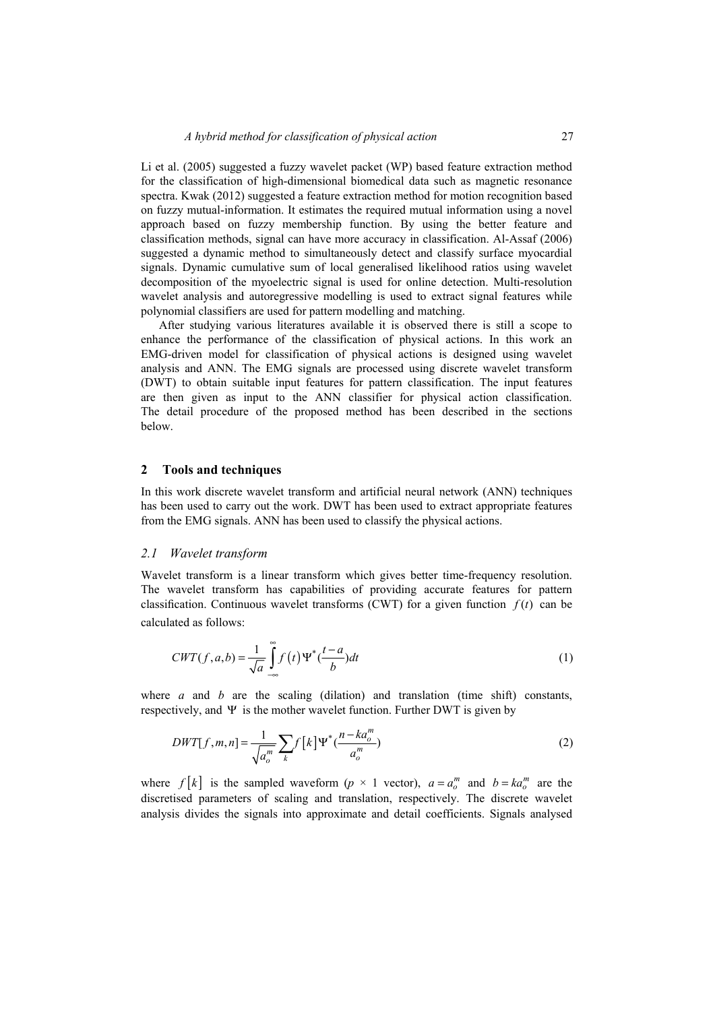Li et al. (2005) suggested a fuzzy wavelet packet (WP) based feature extraction method for the classification of high-dimensional biomedical data such as magnetic resonance spectra. Kwak (2012) suggested a feature extraction method for motion recognition based on fuzzy mutual-information. It estimates the required mutual information using a novel approach based on fuzzy membership function. By using the better feature and classification methods, signal can have more accuracy in classification. Al-Assaf (2006) suggested a dynamic method to simultaneously detect and classify surface myocardial signals. Dynamic cumulative sum of local generalised likelihood ratios using wavelet decomposition of the myoelectric signal is used for online detection. Multi-resolution wavelet analysis and autoregressive modelling is used to extract signal features while polynomial classifiers are used for pattern modelling and matching.

After studying various literatures available it is observed there is still a scope to enhance the performance of the classification of physical actions. In this work an EMG-driven model for classification of physical actions is designed using wavelet analysis and ANN. The EMG signals are processed using discrete wavelet transform (DWT) to obtain suitable input features for pattern classification. The input features are then given as input to the ANN classifier for physical action classification. The detail procedure of the proposed method has been described in the sections below.

#### **2 Tools and techniques**

In this work discrete wavelet transform and artificial neural network (ANN) techniques has been used to carry out the work. DWT has been used to extract appropriate features from the EMG signals. ANN has been used to classify the physical actions.

#### *2.1 Wavelet transform*

Wavelet transform is a linear transform which gives better time-frequency resolution. The wavelet transform has capabilities of providing accurate features for pattern classification. Continuous wavelet transforms (CWT) for a given function  $f(t)$  can be calculated as follows:

$$
CWT(f, a, b) = \frac{1}{\sqrt{a}} \int_{-\infty}^{\infty} f(t) \Psi^* \left(\frac{t - a}{b}\right) dt \tag{1}
$$

where *a* and *b* are the scaling (dilation) and translation (time shift) constants, respectively, and  $\Psi$  is the mother wavelet function. Further DWT is given by

$$
DWT[f,m,n] = \frac{1}{\sqrt{a_o^m}} \sum_{k} f\left[k\right] \Psi^*(\frac{n - ka_o^m}{a_o^m})
$$
\n(2)

where  $f[k]$  is the sampled waveform (*p* × 1 vector),  $a = a_o^m$  and  $b = ka_o^m$  are the discretised parameters of scaling and translation, respectively. The discrete wavelet analysis divides the signals into approximate and detail coefficients. Signals analysed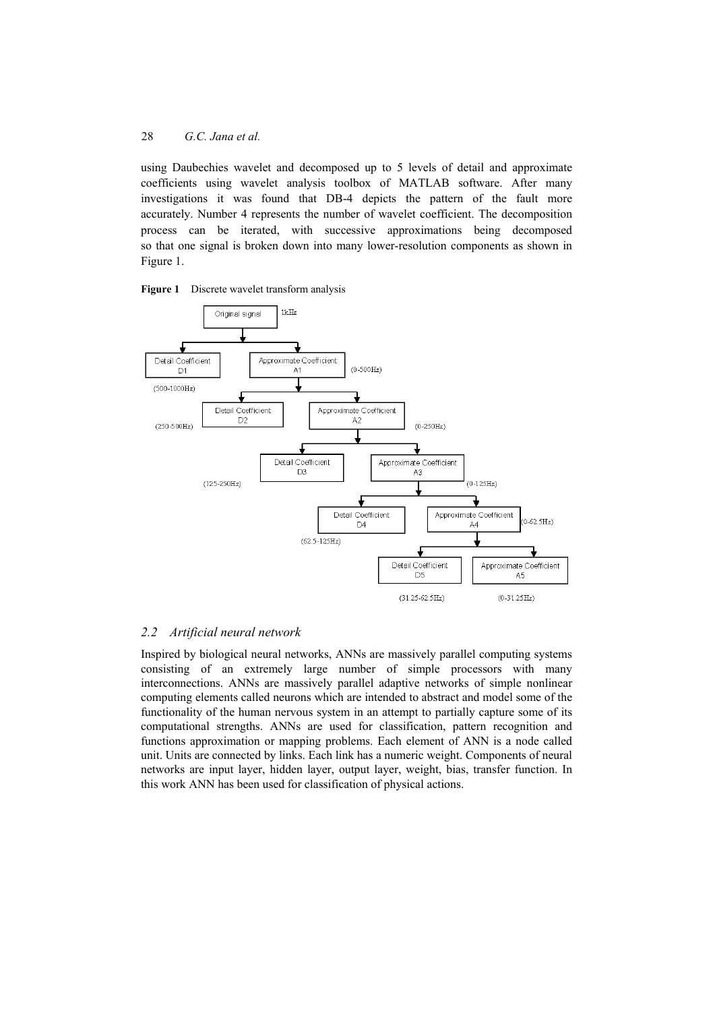using Daubechies wavelet and decomposed up to 5 levels of detail and approximate coefficients using wavelet analysis toolbox of MATLAB software. After many investigations it was found that DB-4 depicts the pattern of the fault more accurately. Number 4 represents the number of wavelet coefficient. The decomposition process can be iterated, with successive approximations being decomposed so that one signal is broken down into many lower-resolution components as shown in Figure 1.





# *2.2 Artificial neural network*

Inspired by biological neural networks, ANNs are massively parallel computing systems consisting of an extremely large number of simple processors with many interconnections. ANNs are massively parallel adaptive networks of simple nonlinear computing elements called neurons which are intended to abstract and model some of the functionality of the human nervous system in an attempt to partially capture some of its computational strengths. ANNs are used for classification, pattern recognition and functions approximation or mapping problems. Each element of ANN is a node called unit. Units are connected by links. Each link has a numeric weight. Components of neural networks are input layer, hidden layer, output layer, weight, bias, transfer function. In this work ANN has been used for classification of physical actions.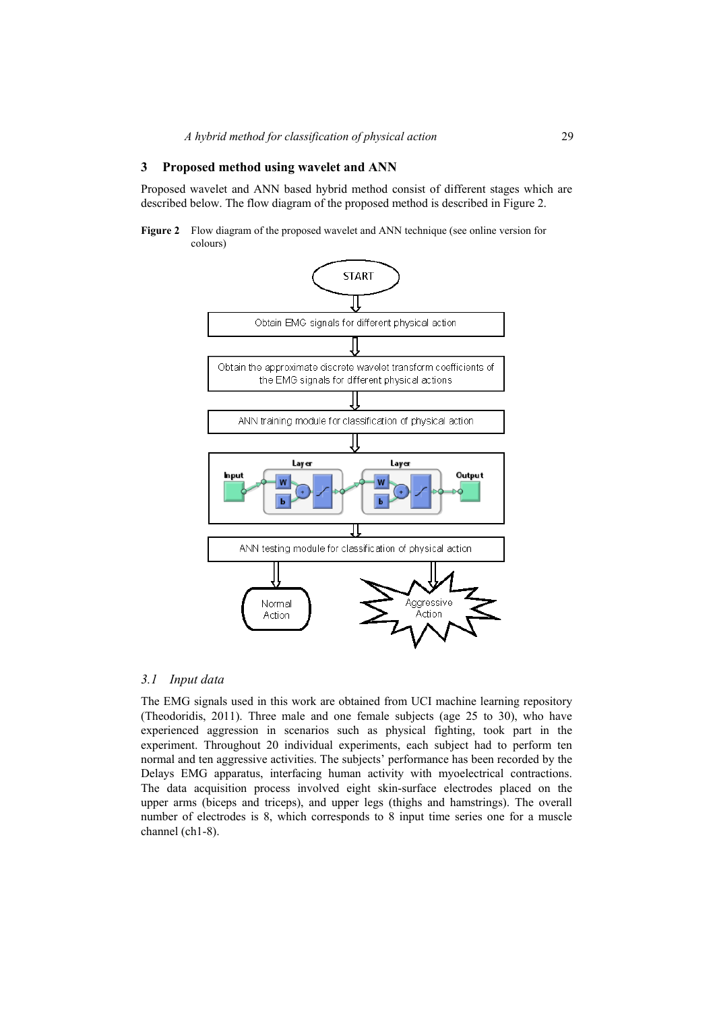## **3 Proposed method using wavelet and ANN**

Proposed wavelet and ANN based hybrid method consist of different stages which are described below. The flow diagram of the proposed method is described in Figure 2.

**Figure 2** Flow diagram of the proposed wavelet and ANN technique (see online version for colours)



### *3.1 Input data*

The EMG signals used in this work are obtained from UCI machine learning repository (Theodoridis, 2011). Three male and one female subjects (age 25 to 30), who have experienced aggression in scenarios such as physical fighting, took part in the experiment. Throughout 20 individual experiments, each subject had to perform ten normal and ten aggressive activities. The subjects' performance has been recorded by the Delays EMG apparatus, interfacing human activity with myoelectrical contractions. The data acquisition process involved eight skin-surface electrodes placed on the upper arms (biceps and triceps), and upper legs (thighs and hamstrings). The overall number of electrodes is 8, which corresponds to 8 input time series one for a muscle channel (ch1-8).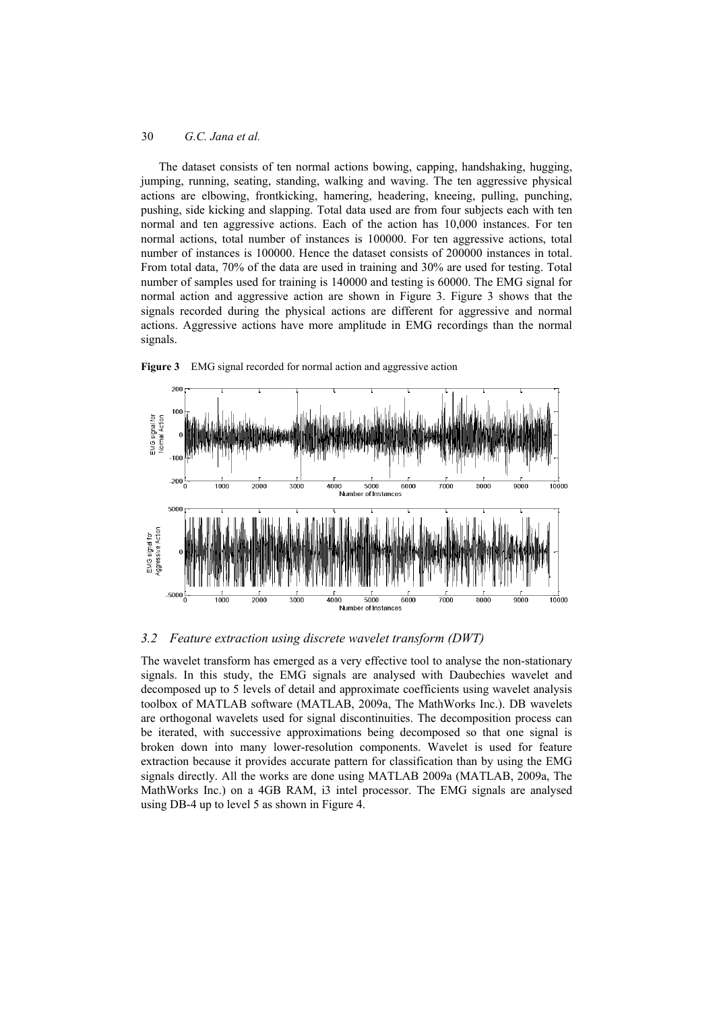The dataset consists of ten normal actions bowing, capping, handshaking, hugging, jumping, running, seating, standing, walking and waving. The ten aggressive physical actions are elbowing, frontkicking, hamering, headering, kneeing, pulling, punching, pushing, side kicking and slapping. Total data used are from four subjects each with ten normal and ten aggressive actions. Each of the action has 10,000 instances. For ten normal actions, total number of instances is 100000. For ten aggressive actions, total number of instances is 100000. Hence the dataset consists of 200000 instances in total. From total data, 70% of the data are used in training and 30% are used for testing. Total number of samples used for training is 140000 and testing is 60000. The EMG signal for normal action and aggressive action are shown in Figure 3. Figure 3 shows that the signals recorded during the physical actions are different for aggressive and normal actions. Aggressive actions have more amplitude in EMG recordings than the normal signals.





# *3.2 Feature extraction using discrete wavelet transform (DWT)*

The wavelet transform has emerged as a very effective tool to analyse the non-stationary signals. In this study, the EMG signals are analysed with Daubechies wavelet and decomposed up to 5 levels of detail and approximate coefficients using wavelet analysis toolbox of MATLAB software (MATLAB, 2009a, The MathWorks Inc.). DB wavelets are orthogonal wavelets used for signal discontinuities. The decomposition process can be iterated, with successive approximations being decomposed so that one signal is broken down into many lower-resolution components. Wavelet is used for feature extraction because it provides accurate pattern for classification than by using the EMG signals directly. All the works are done using MATLAB 2009a (MATLAB, 2009a, The MathWorks Inc.) on a 4GB RAM, i3 intel processor. The EMG signals are analysed using DB-4 up to level 5 as shown in Figure 4.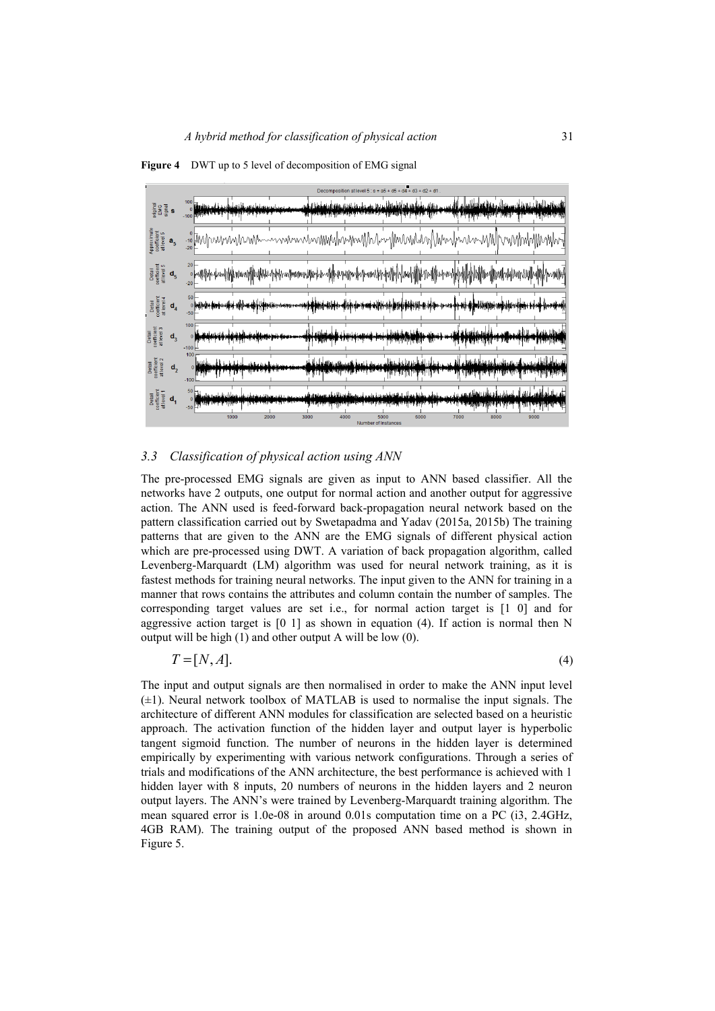



# *3.3 Classification of physical action using ANN*

The pre-processed EMG signals are given as input to ANN based classifier. All the networks have 2 outputs, one output for normal action and another output for aggressive action. The ANN used is feed-forward back-propagation neural network based on the pattern classification carried out by Swetapadma and Yadav (2015a, 2015b) The training patterns that are given to the ANN are the EMG signals of different physical action which are pre-processed using DWT. A variation of back propagation algorithm, called Levenberg-Marquardt (LM) algorithm was used for neural network training, as it is fastest methods for training neural networks. The input given to the ANN for training in a manner that rows contains the attributes and column contain the number of samples. The corresponding target values are set i.e., for normal action target is [1 0] and for aggressive action target is  $[0 \ 1]$  as shown in equation (4). If action is normal then N output will be high (1) and other output A will be low (0).

$$
T = [N, A]. \tag{4}
$$

The input and output signals are then normalised in order to make the ANN input level  $(\pm 1)$ . Neural network toolbox of MATLAB is used to normalise the input signals. The architecture of different ANN modules for classification are selected based on a heuristic approach. The activation function of the hidden layer and output layer is hyperbolic tangent sigmoid function. The number of neurons in the hidden layer is determined empirically by experimenting with various network configurations. Through a series of trials and modifications of the ANN architecture, the best performance is achieved with 1 hidden layer with 8 inputs, 20 numbers of neurons in the hidden layers and 2 neuron output layers. The ANN's were trained by Levenberg-Marquardt training algorithm. The mean squared error is 1.0e-08 in around 0.01s computation time on a PC (i3, 2.4GHz, 4GB RAM). The training output of the proposed ANN based method is shown in Figure 5.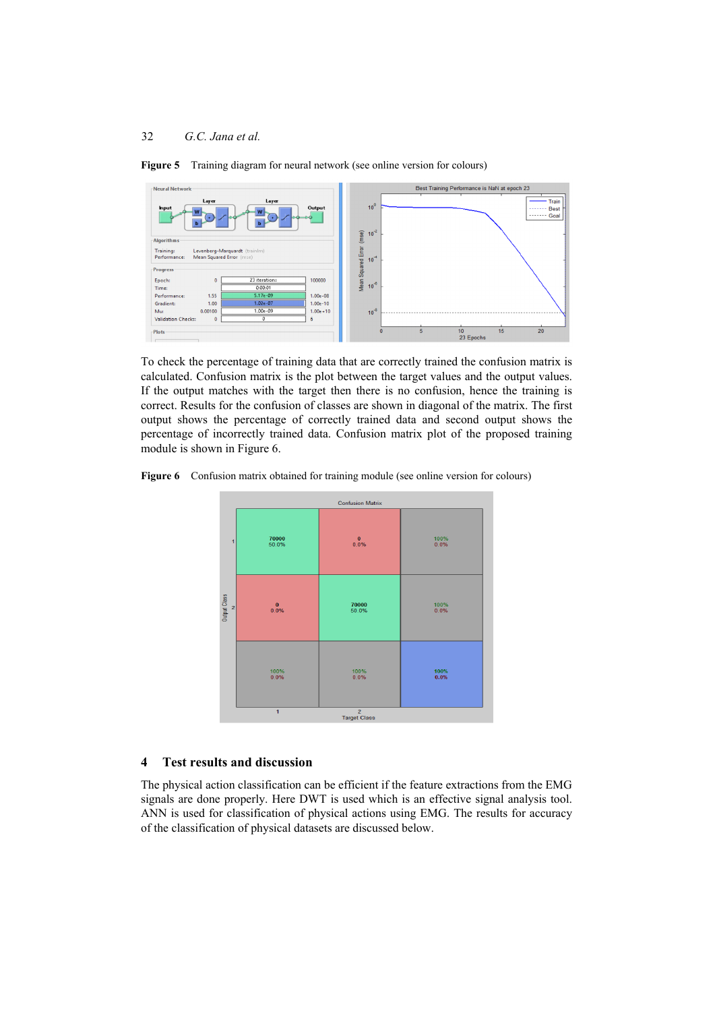

**Figure 5** Training diagram for neural network (see online version for colours)

To check the percentage of training data that are correctly trained the confusion matrix is calculated. Confusion matrix is the plot between the target values and the output values. If the output matches with the target then there is no confusion, hence the training is correct. Results for the confusion of classes are shown in diagonal of the matrix. The first output shows the percentage of correctly trained data and second output shows the percentage of incorrectly trained data. Confusion matrix plot of the proposed training module is shown in Figure 6.

**Figure 6** Confusion matrix obtained for training module (see online version for colours)



# **4 Test results and discussion**

The physical action classification can be efficient if the feature extractions from the EMG signals are done properly. Here DWT is used which is an effective signal analysis tool. ANN is used for classification of physical actions using EMG. The results for accuracy of the classification of physical datasets are discussed below.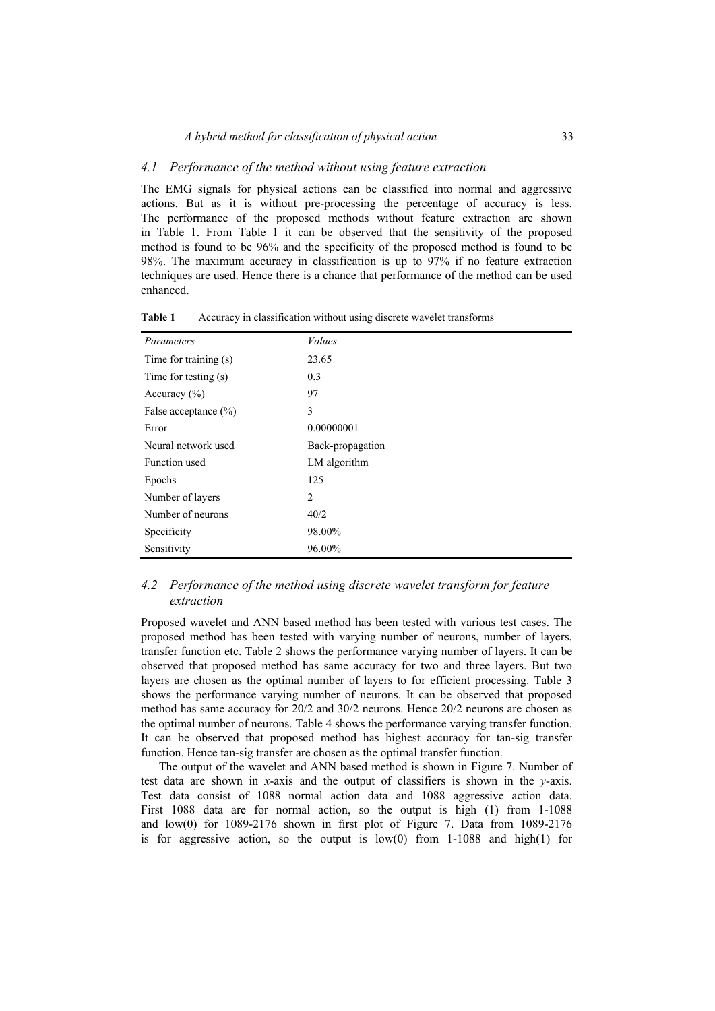# *4.1 Performance of the method without using feature extraction*

The EMG signals for physical actions can be classified into normal and aggressive actions. But as it is without pre-processing the percentage of accuracy is less. The performance of the proposed methods without feature extraction are shown in Table 1. From Table 1 it can be observed that the sensitivity of the proposed method is found to be 96% and the specificity of the proposed method is found to be 98%. The maximum accuracy in classification is up to 97% if no feature extraction techniques are used. Hence there is a chance that performance of the method can be used enhanced.

| Parameters               | <b>Values</b>    |
|--------------------------|------------------|
| Time for training (s)    | 23.65            |
| Time for testing (s)     | 0.3              |
| Accuracy $(\% )$         | 97               |
| False acceptance $(\% )$ | 3                |
| Error                    | 0.00000001       |
| Neural network used      | Back-propagation |
| Function used            | LM algorithm     |
| Epochs                   | 125              |
| Number of layers         | $\overline{2}$   |
| Number of neurons        | 40/2             |
| Specificity              | 98.00%           |
| Sensitivity              | 96.00%           |

**Table 1** Accuracy in classification without using discrete wavelet transforms

# *4.2 Performance of the method using discrete wavelet transform for feature extraction*

Proposed wavelet and ANN based method has been tested with various test cases. The proposed method has been tested with varying number of neurons, number of layers, transfer function etc. Table 2 shows the performance varying number of layers. It can be observed that proposed method has same accuracy for two and three layers. But two layers are chosen as the optimal number of layers to for efficient processing. Table 3 shows the performance varying number of neurons. It can be observed that proposed method has same accuracy for 20/2 and 30/2 neurons. Hence 20/2 neurons are chosen as the optimal number of neurons. Table 4 shows the performance varying transfer function. It can be observed that proposed method has highest accuracy for tan-sig transfer function. Hence tan-sig transfer are chosen as the optimal transfer function.

The output of the wavelet and ANN based method is shown in Figure 7. Number of test data are shown in *x*-axis and the output of classifiers is shown in the *y*-axis. Test data consist of 1088 normal action data and 1088 aggressive action data. First 1088 data are for normal action, so the output is high (1) from 1-1088 and low(0) for 1089-2176 shown in first plot of Figure 7. Data from 1089-2176 is for aggressive action, so the output is  $low(0)$  from 1-1088 and high $(1)$  for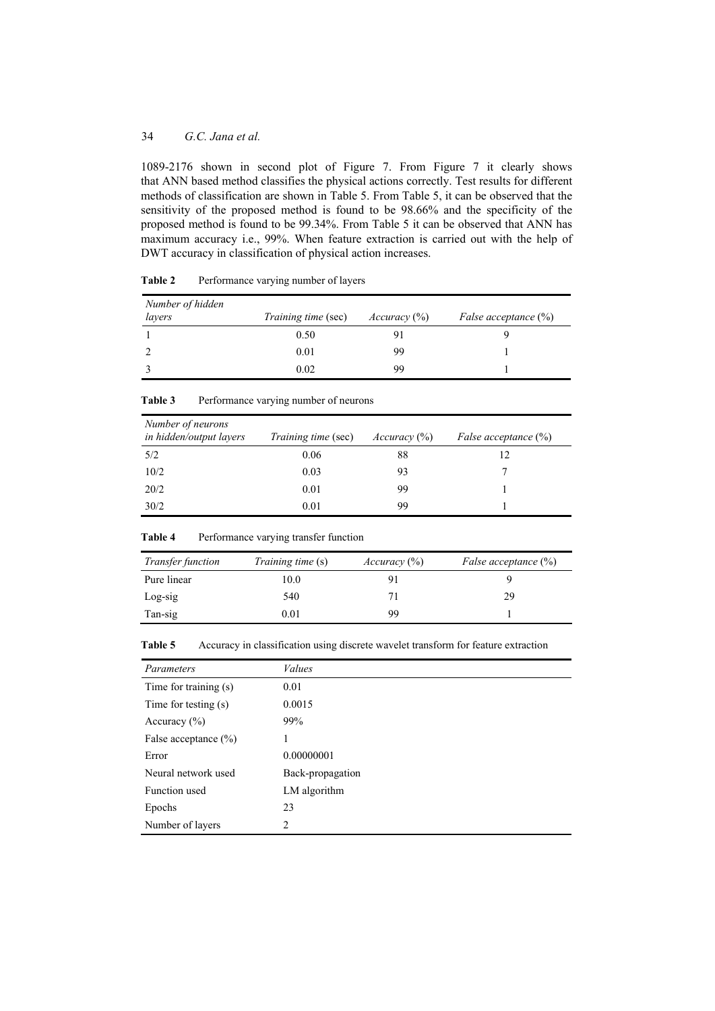1089-2176 shown in second plot of Figure 7. From Figure 7 it clearly shows that ANN based method classifies the physical actions correctly. Test results for different methods of classification are shown in Table 5. From Table 5, it can be observed that the sensitivity of the proposed method is found to be 98.66% and the specificity of the proposed method is found to be 99.34%. From Table 5 it can be observed that ANN has maximum accuracy i.e., 99%. When feature extraction is carried out with the help of DWT accuracy in classification of physical action increases.

| Number of hidden<br>layers | <i>Training time</i> (sec) | Accuracy (%) | <i>False acceptance</i> $(\%)$ |
|----------------------------|----------------------------|--------------|--------------------------------|
|                            | 0.50                       |              |                                |
|                            | 0.01                       | 99           |                                |
|                            | 0.02                       | 99           |                                |

| Number of neurons<br>in hidden/output layers | <i>Training time</i> (sec) | Accuracy (%) | <i>False acceptance</i> $(\%)$ |
|----------------------------------------------|----------------------------|--------------|--------------------------------|
| 5/2                                          | 0.06                       | 88           | 12                             |
| 10/2                                         | 0.03                       | 93           |                                |
| 20/2                                         | 0.01                       | 99           |                                |
| 30/2                                         | 0.01                       | 99           |                                |

**Table 3** Performance varying number of neurons

| <b>Table 4</b> | Performance varying transfer function |  |  |
|----------------|---------------------------------------|--|--|
|                |                                       |  |  |

| <i>Transfer function</i> | <i>Training time</i> (s) | Accuracy (%) | <i>False acceptance</i> $(\%)$ |
|--------------------------|--------------------------|--------------|--------------------------------|
| Pure linear              | 10.0                     |              |                                |
| Log-sig                  | 540                      |              | 29                             |
| Tan-sig                  | $\rm 0.01$               | 99           |                                |

**Table 5** Accuracy in classification using discrete wavelet transform for feature extraction

| Parameters               | <b>Values</b>    |
|--------------------------|------------------|
| Time for training (s)    | 0.01             |
| Time for testing (s)     | 0.0015           |
| Accuracy $(\% )$         | 99%              |
| False acceptance $(\% )$ | 1                |
| Error                    | 0.00000001       |
| Neural network used      | Back-propagation |
| Function used            | LM algorithm     |
| Epochs                   | 23               |
| Number of layers         | 2                |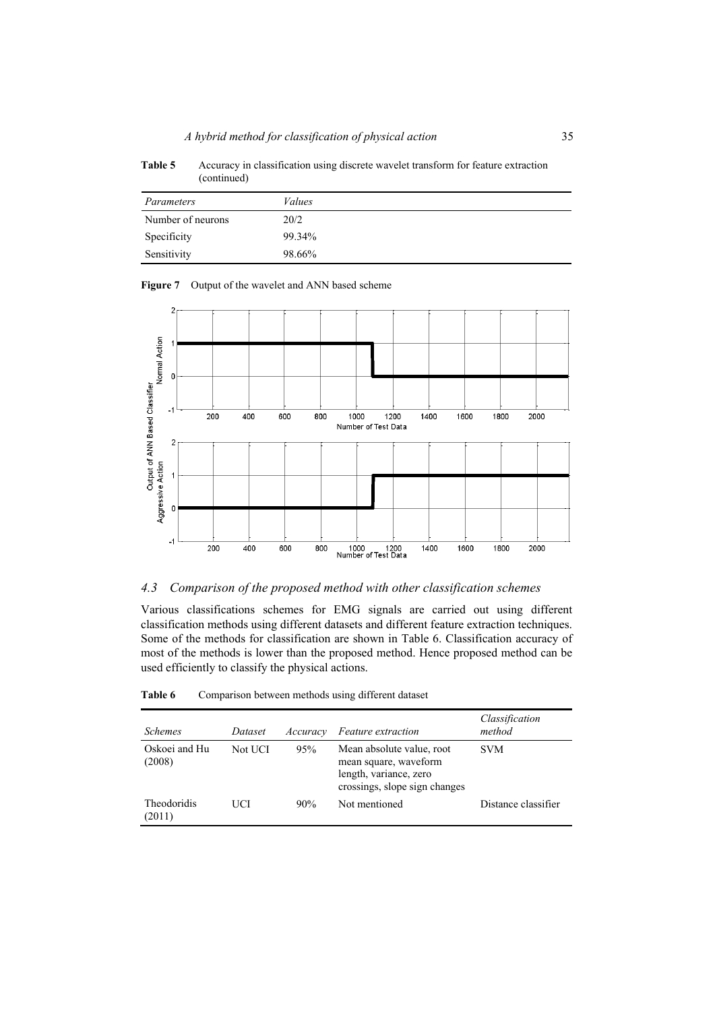| Parameters        | Values |
|-------------------|--------|
| Number of neurons | 20/2   |
| Specificity       | 99.34% |
| Sensitivity       | 98.66% |

Table 5 Accuracy in classification using discrete wavelet transform for feature extraction (continued)





# *4.3 Comparison of the proposed method with other classification schemes*

Various classifications schemes for EMG signals are carried out using different classification methods using different datasets and different feature extraction techniques. Some of the methods for classification are shown in Table 6. Classification accuracy of most of the methods is lower than the proposed method. Hence proposed method can be used efficiently to classify the physical actions.

| <b>Schemes</b>               | Dataset | Accuracy | Feature extraction                                                                                            | Classification<br>method |
|------------------------------|---------|----------|---------------------------------------------------------------------------------------------------------------|--------------------------|
| Oskoei and Hu<br>(2008)      | Not UCI | 95%      | Mean absolute value, root<br>mean square, waveform<br>length, variance, zero<br>crossings, slope sign changes | <b>SVM</b>               |
| <b>Theodoridis</b><br>(2011) | UCI     | 90%      | Not mentioned                                                                                                 | Distance classifier      |

| Comparison between methods using different dataset | Table 6 |  |  |  |  |  |  |
|----------------------------------------------------|---------|--|--|--|--|--|--|
|----------------------------------------------------|---------|--|--|--|--|--|--|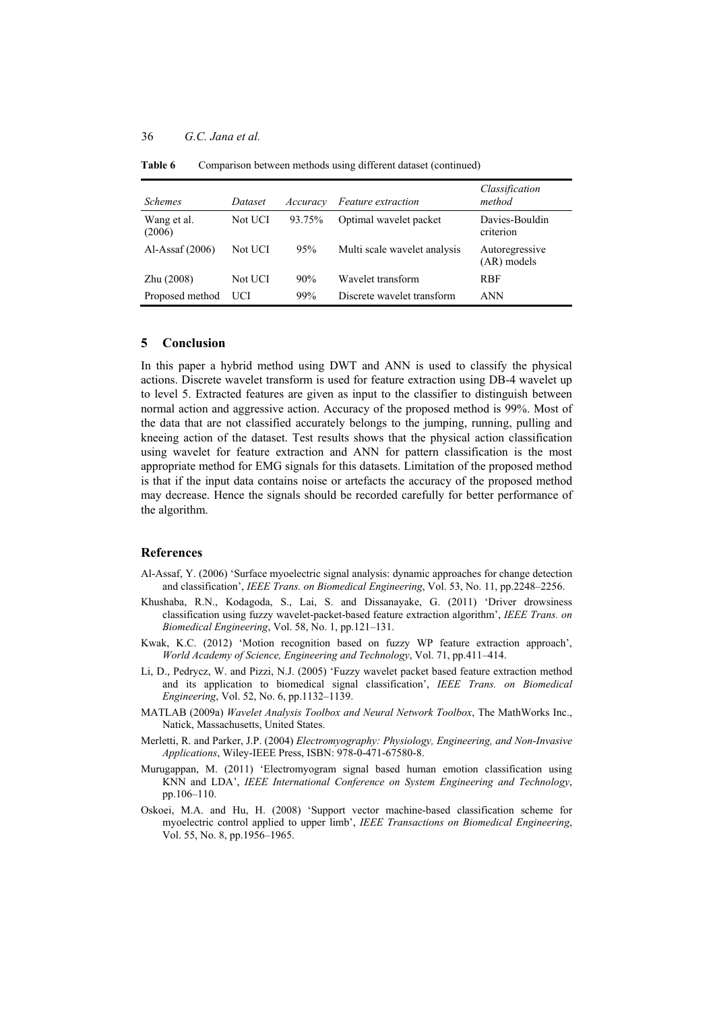| <i>Schemes</i>        | Dataset | Accuracy | <b>Feature</b> extraction    | Classification<br>method        |
|-----------------------|---------|----------|------------------------------|---------------------------------|
| Wang et al.<br>(2006) | Not UCI | 93.75%   | Optimal wavelet packet       | Davies-Bouldin<br>criterion     |
| Al-Assaf $(2006)$     | Not UCI | 95%      | Multi scale wavelet analysis | Autoregressive<br>$(AR)$ models |
| Zhu (2008)            | Not UCI | 90%      | Wavelet transform            | <b>RBF</b>                      |
| Proposed method       | UCI     | 99%      | Discrete wavelet transform   | ANN                             |

Table 6 Comparison between methods using different dataset (continued)

## **5 Conclusion**

In this paper a hybrid method using DWT and ANN is used to classify the physical actions. Discrete wavelet transform is used for feature extraction using DB-4 wavelet up to level 5. Extracted features are given as input to the classifier to distinguish between normal action and aggressive action. Accuracy of the proposed method is 99%. Most of the data that are not classified accurately belongs to the jumping, running, pulling and kneeing action of the dataset. Test results shows that the physical action classification using wavelet for feature extraction and ANN for pattern classification is the most appropriate method for EMG signals for this datasets. Limitation of the proposed method is that if the input data contains noise or artefacts the accuracy of the proposed method may decrease. Hence the signals should be recorded carefully for better performance of the algorithm.

### **References**

- Al-Assaf, Y. (2006) 'Surface myoelectric signal analysis: dynamic approaches for change detection and classification', *IEEE Trans. on Biomedical Engineering*, Vol. 53, No. 11, pp.2248–2256.
- Khushaba, R.N., Kodagoda, S., Lai, S. and Dissanayake, G. (2011) 'Driver drowsiness classification using fuzzy wavelet-packet-based feature extraction algorithm', *IEEE Trans. on Biomedical Engineering*, Vol. 58, No. 1, pp.121–131.
- Kwak, K.C. (2012) 'Motion recognition based on fuzzy WP feature extraction approach', *World Academy of Science, Engineering and Technology*, Vol. 71, pp.411–414.
- Li, D., Pedrycz, W. and Pizzi, N.J. (2005) 'Fuzzy wavelet packet based feature extraction method and its application to biomedical signal classification', *IEEE Trans. on Biomedical Engineering*, Vol. 52, No. 6, pp.1132–1139.
- MATLAB (2009a) *Wavelet Analysis Toolbox and Neural Network Toolbox*, The MathWorks Inc., Natick, Massachusetts, United States.
- Merletti, R. and Parker, J.P. (2004) *Electromyography: Physiology, Engineering, and Non-Invasive Applications*, Wiley-IEEE Press, ISBN: 978-0-471-67580-8.
- Murugappan, M. (2011) 'Electromyogram signal based human emotion classification using KNN and LDA', *IEEE International Conference on System Engineering and Technology*, pp.106–110.
- Oskoei, M.A. and Hu, H. (2008) 'Support vector machine-based classification scheme for myoelectric control applied to upper limb', *IEEE Transactions on Biomedical Engineering*, Vol. 55, No. 8, pp.1956–1965.